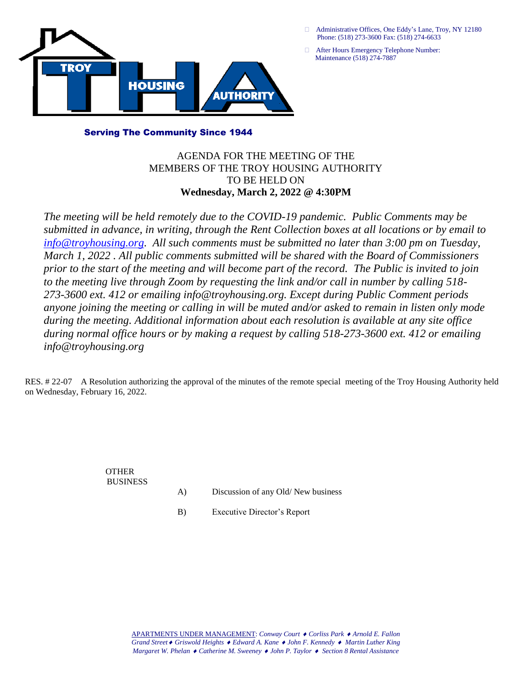

- Administrative Offices, One Eddy's Lane, Troy, NY 12180 Phone: (518) 273-3600 Fax: (518) 274-6633
- After Hours Emergency Telephone Number: Maintenance (518) 274-7887

## Serving The Community Since 1944

## AGENDA FOR THE MEETING OF THE MEMBERS OF THE TROY HOUSING AUTHORITY TO BE HELD ON **Wednesday, March 2, 2022 @ 4:30PM**

*The meeting will be held remotely due to the COVID-19 pandemic. Public Comments may be submitted in advance, in writing, through the Rent Collection boxes at all locations or by email to [info@troyhousing.org.](mailto:info@troyhousing.org) All such comments must be submitted no later than 3:00 pm on Tuesday, March 1, 2022 . All public comments submitted will be shared with the Board of Commissioners prior to the start of the meeting and will become part of the record. The Public is invited to join to the meeting live through Zoom by requesting the link and/or call in number by calling 518- 273-3600 ext. 412 or emailing info@troyhousing.org. Except during Public Comment periods anyone joining the meeting or calling in will be muted and/or asked to remain in listen only mode during the meeting. Additional information about each resolution is available at any site office during normal office hours or by making a request by calling 518-273-3600 ext. 412 or emailing info@troyhousing.org*

RES. # 22-07 A Resolution authorizing the approval of the minutes of the remote special meeting of the Troy Housing Authority held on Wednesday, February 16, 2022.

> OTHER BUSINESS

- A) Discussion of any Old/ New business
- B) Executive Director's Report